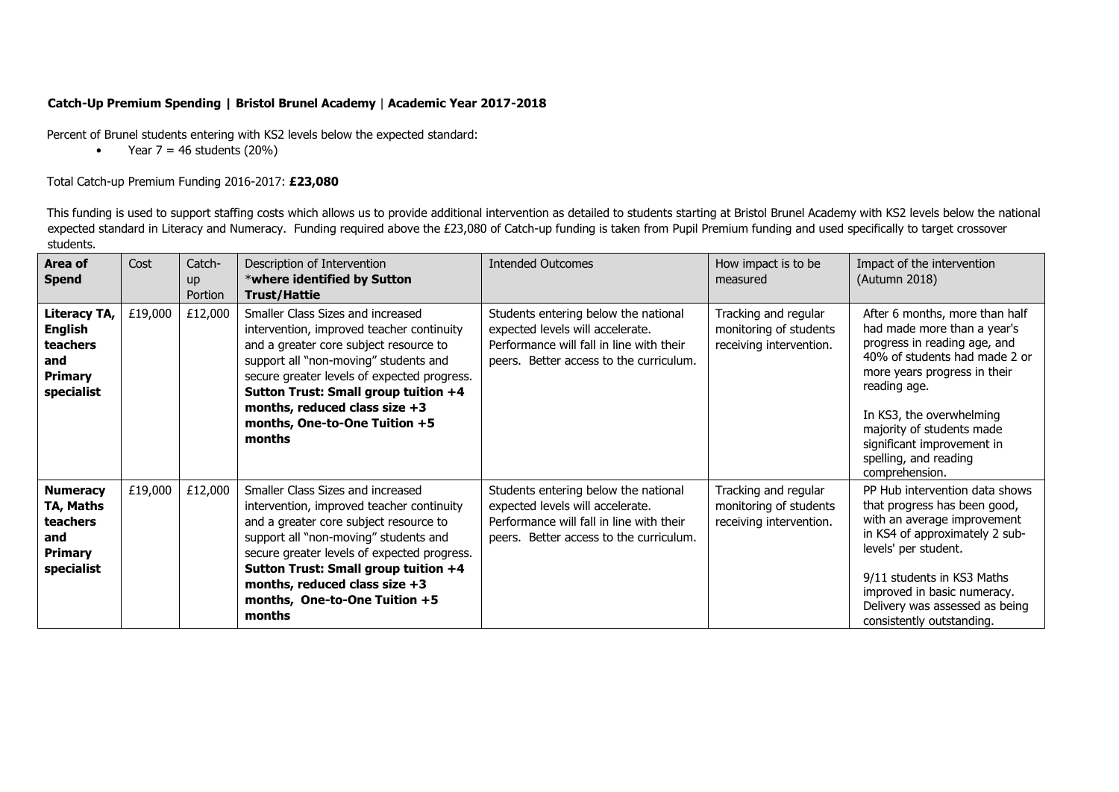## **Catch-Up Premium Spending | Bristol Brunel Academy** | **Academic Year 2017-2018**

Percent of Brunel students entering with KS2 levels below the expected standard:

• Year  $7 = 46$  students  $(20\%)$ 

## Total Catch-up Premium Funding 2016-2017: **£23,080**

This funding is used to support staffing costs which allows us to provide additional intervention as detailed to students starting at Bristol Brunel Academy with KS2 levels below the national expected standard in Literacy and Numeracy. Funding required above the £23,080 of Catch-up funding is taken from Pupil Premium funding and used specifically to target crossover students.

| Area of<br><b>Spend</b>                                                           | Cost    | Catch-<br>up<br>Portion | Description of Intervention<br>*where identified by Sutton<br><b>Trust/Hattie</b>                                                                                                                                                                                                                                                      | <b>Intended Outcomes</b>                                                                                                                                        | How impact is to be<br>measured                                           | Impact of the intervention<br>(Autumn 2018)                                                                                                                                                                                                                                                                      |
|-----------------------------------------------------------------------------------|---------|-------------------------|----------------------------------------------------------------------------------------------------------------------------------------------------------------------------------------------------------------------------------------------------------------------------------------------------------------------------------------|-----------------------------------------------------------------------------------------------------------------------------------------------------------------|---------------------------------------------------------------------------|------------------------------------------------------------------------------------------------------------------------------------------------------------------------------------------------------------------------------------------------------------------------------------------------------------------|
| Literacy TA,<br><b>English</b><br>teachers<br>and<br><b>Primary</b><br>specialist | £19,000 | £12,000                 | Smaller Class Sizes and increased<br>intervention, improved teacher continuity<br>and a greater core subject resource to<br>support all "non-moving" students and<br>secure greater levels of expected progress.<br>Sutton Trust: Small group tuition +4<br>months, reduced class size $+3$<br>months, One-to-One Tuition +5<br>months | Students entering below the national<br>expected levels will accelerate.<br>Performance will fall in line with their<br>peers. Better access to the curriculum. | Tracking and regular<br>monitoring of students<br>receiving intervention. | After 6 months, more than half<br>had made more than a year's<br>progress in reading age, and<br>40% of students had made 2 or<br>more years progress in their<br>reading age.<br>In KS3, the overwhelming<br>majority of students made<br>significant improvement in<br>spelling, and reading<br>comprehension. |
| <b>Numeracy</b><br>TA, Maths<br>teachers<br>and<br><b>Primary</b><br>specialist   | £19,000 | £12,000                 | Smaller Class Sizes and increased<br>intervention, improved teacher continuity<br>and a greater core subject resource to<br>support all "non-moving" students and<br>secure greater levels of expected progress.<br>Sutton Trust: Small group tuition +4<br>months, reduced class size $+3$<br>months, One-to-One Tuition +5<br>months | Students entering below the national<br>expected levels will accelerate.<br>Performance will fall in line with their<br>peers. Better access to the curriculum. | Tracking and regular<br>monitoring of students<br>receiving intervention. | PP Hub intervention data shows<br>that progress has been good,<br>with an average improvement<br>in KS4 of approximately 2 sub-<br>levels' per student.<br>9/11 students in KS3 Maths<br>improved in basic numeracy.<br>Delivery was assessed as being<br>consistently outstanding.                              |